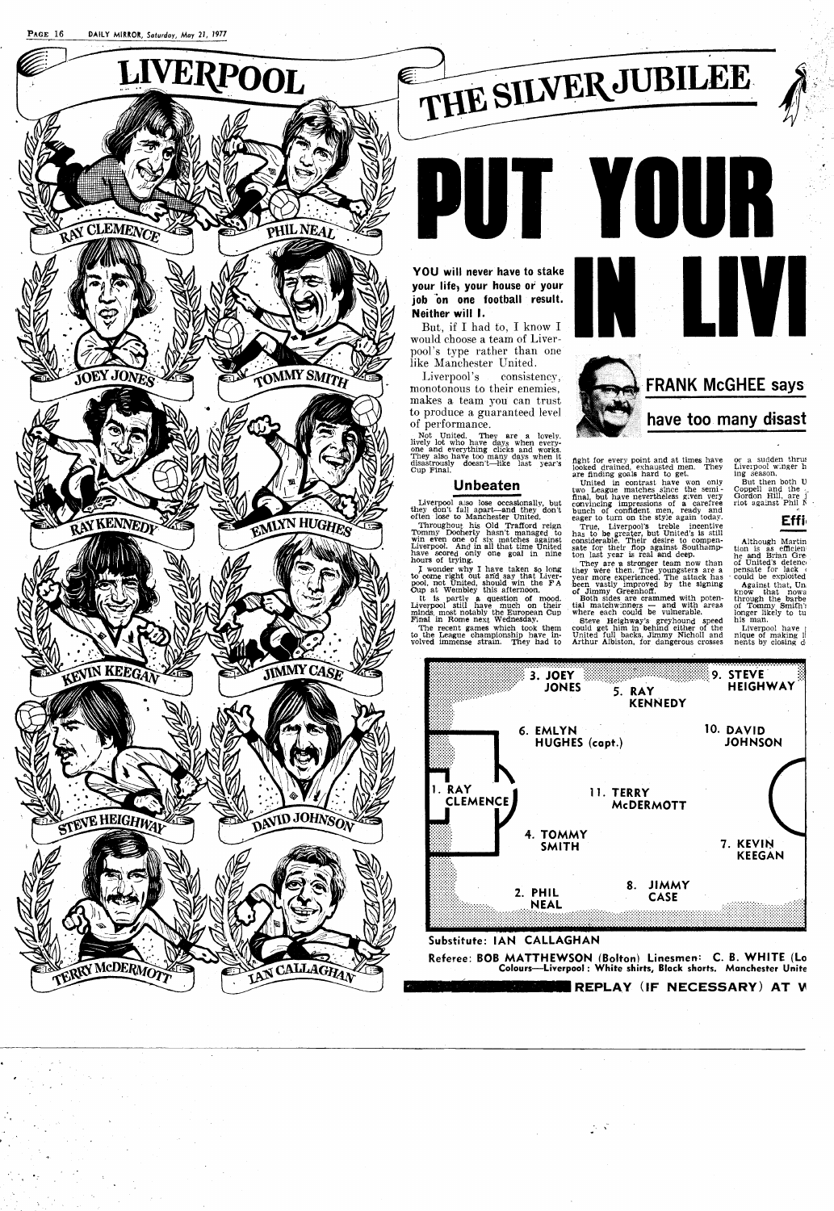



# of performance. **have too many disast**

They also have too many days when it fight for every point and at times have or a sudden thrus disastrously doesn't—like last year's included drained exhausted men. They Liverpool winger h Cup Final. Looked drained, exhausted men. They Liverpool winger h are finding goals hard to get. ing season.

United in contrast have won only two League matches since the semi-<br>final, but have nevertheless given very<br>convincing impressions of a carefree<br>bunch of confident men, ready and<br>eager to turn on the style again today.

True, Liverpool's treble incentive has to be greater, but United's is still considerable. Their desire to compen-<br>sate for their flop against Southamp-<br>ton last year is real and deep.

**Unbeaten** 

Liverpool also lose occasionally, but they don't fall apart-and they don't often lose to Manchester United.

They are **n** stronger team now than they were then. The youngsters are a year more experienced. The attack has been vastly improved by the signing<br>of Jimmy Greenhoff.<br>Both sides are crammed with poten-<br>tial matchwinners — and with areas<br>where each could be vulnerable.

Throughout his Old Trafford reign 3mmy Dooherty hasn't managed, to win even one of six matches against Liverpool. And in all that time United have scored only one goal In nine hours of trying.

I wonder why I have taken so long to come right out and say that Liver-<br>pool, not United, should win the FA<br>Cup at Wembley this afternoon.

Although Martin tion is as efficien<br>
he and Brian Gre<br>
of United's detence<br>
pensate for lack<br>
could be exploited Against that, Un, know that nowa through the barbe of **Tommy** Smith': longer llkely to tu

his man. Liverpool have<br>
nique of making l<br>
nents by closing d

It is partly **8,** question **of** mood. Liverpool still have muoh on their minds, **a** most notably the European CUP Fin& m Rome next Wednesday.

**The** recent games which took them to the League championship have in-volved immense strain. They had to

Bteve Heighway's greyhound speed could get him in behind either of the United full backs, Jirnmy Nicholl and Arthur Albiston, for dangerous crosses

But then both U Coppell and the , Gordon Hill. are f riot agamst Phi1 **If** .

**Eff il** 





#### **Substitute: IAN CALLAGHAN**

Not United. They are a lovely.<br>lively lot who have days when every-<br>one and everything clicks and works.

**Referee: BOB MATTHEWSON (Bolton) Linesmen: C. B. WHITE (Lo Colours-Liverpool** : **White shirts, Black shorts. Manchester Unite** 

#### **IREPLAY (IF NECESSARY) AT V**